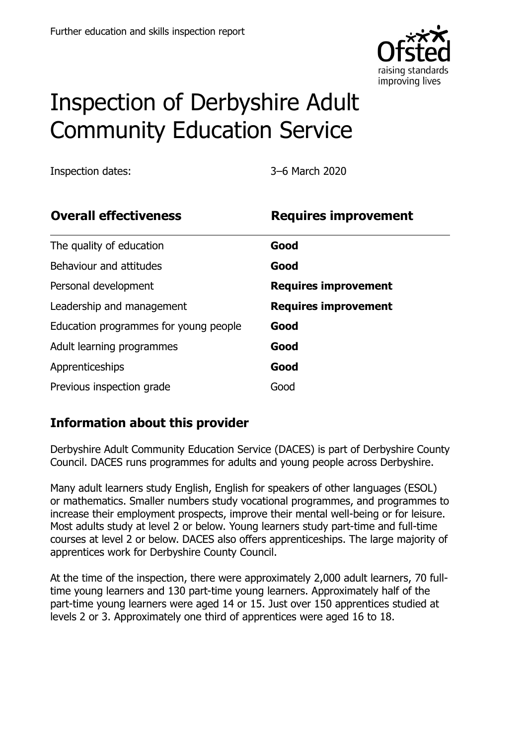

# Inspection of Derbyshire Adult Community Education Service

Inspection dates: 3–6 March 2020

| <b>Overall effectiveness</b>          | <b>Requires improvement</b> |
|---------------------------------------|-----------------------------|
| The quality of education              | Good                        |
| Behaviour and attitudes               | Good                        |
| Personal development                  | <b>Requires improvement</b> |
| Leadership and management             | <b>Requires improvement</b> |
| Education programmes for young people | Good                        |
| Adult learning programmes             | Good                        |
| Apprenticeships                       | Good                        |
| Previous inspection grade             | Good                        |

# **Information about this provider**

Derbyshire Adult Community Education Service (DACES) is part of Derbyshire County Council. DACES runs programmes for adults and young people across Derbyshire.

Many adult learners study English, English for speakers of other languages (ESOL) or mathematics. Smaller numbers study vocational programmes, and programmes to increase their employment prospects, improve their mental well-being or for leisure. Most adults study at level 2 or below. Young learners study part-time and full-time courses at level 2 or below. DACES also offers apprenticeships. The large majority of apprentices work for Derbyshire County Council.

At the time of the inspection, there were approximately 2,000 adult learners, 70 fulltime young learners and 130 part-time young learners. Approximately half of the part-time young learners were aged 14 or 15. Just over 150 apprentices studied at levels 2 or 3. Approximately one third of apprentices were aged 16 to 18.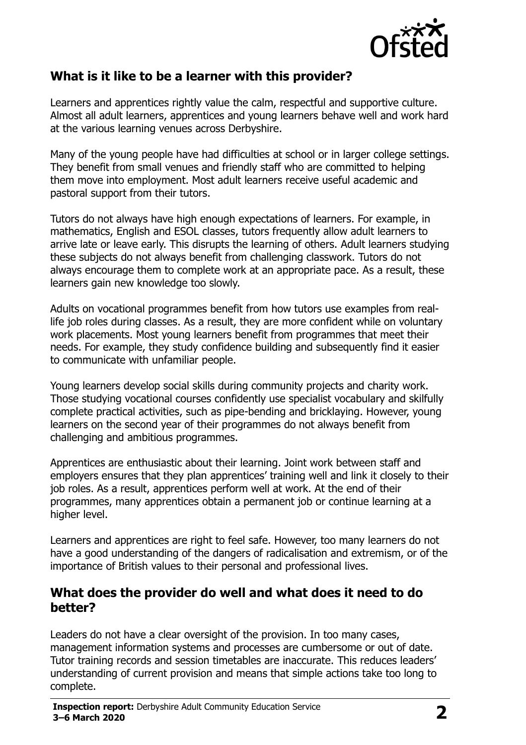

### **What is it like to be a learner with this provider?**

Learners and apprentices rightly value the calm, respectful and supportive culture. Almost all adult learners, apprentices and young learners behave well and work hard at the various learning venues across Derbyshire.

Many of the young people have had difficulties at school or in larger college settings. They benefit from small venues and friendly staff who are committed to helping them move into employment. Most adult learners receive useful academic and pastoral support from their tutors.

Tutors do not always have high enough expectations of learners. For example, in mathematics, English and ESOL classes, tutors frequently allow adult learners to arrive late or leave early. This disrupts the learning of others. Adult learners studying these subjects do not always benefit from challenging classwork. Tutors do not always encourage them to complete work at an appropriate pace. As a result, these learners gain new knowledge too slowly.

Adults on vocational programmes benefit from how tutors use examples from reallife job roles during classes. As a result, they are more confident while on voluntary work placements. Most young learners benefit from programmes that meet their needs. For example, they study confidence building and subsequently find it easier to communicate with unfamiliar people.

Young learners develop social skills during community projects and charity work. Those studying vocational courses confidently use specialist vocabulary and skilfully complete practical activities, such as pipe-bending and bricklaying. However, young learners on the second year of their programmes do not always benefit from challenging and ambitious programmes.

Apprentices are enthusiastic about their learning. Joint work between staff and employers ensures that they plan apprentices' training well and link it closely to their job roles. As a result, apprentices perform well at work. At the end of their programmes, many apprentices obtain a permanent job or continue learning at a higher level.

Learners and apprentices are right to feel safe. However, too many learners do not have a good understanding of the dangers of radicalisation and extremism, or of the importance of British values to their personal and professional lives.

#### **What does the provider do well and what does it need to do better?**

Leaders do not have a clear oversight of the provision. In too many cases, management information systems and processes are cumbersome or out of date. Tutor training records and session timetables are inaccurate. This reduces leaders' understanding of current provision and means that simple actions take too long to complete.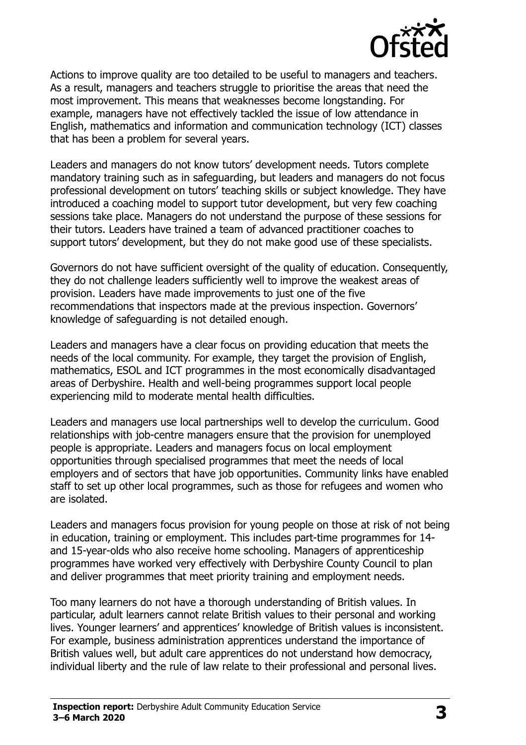

Actions to improve quality are too detailed to be useful to managers and teachers. As a result, managers and teachers struggle to prioritise the areas that need the most improvement. This means that weaknesses become longstanding. For example, managers have not effectively tackled the issue of low attendance in English, mathematics and information and communication technology (ICT) classes that has been a problem for several years.

Leaders and managers do not know tutors' development needs. Tutors complete mandatory training such as in safeguarding, but leaders and managers do not focus professional development on tutors' teaching skills or subject knowledge. They have introduced a coaching model to support tutor development, but very few coaching sessions take place. Managers do not understand the purpose of these sessions for their tutors. Leaders have trained a team of advanced practitioner coaches to support tutors' development, but they do not make good use of these specialists.

Governors do not have sufficient oversight of the quality of education. Consequently, they do not challenge leaders sufficiently well to improve the weakest areas of provision. Leaders have made improvements to just one of the five recommendations that inspectors made at the previous inspection. Governors' knowledge of safeguarding is not detailed enough.

Leaders and managers have a clear focus on providing education that meets the needs of the local community. For example, they target the provision of English, mathematics, ESOL and ICT programmes in the most economically disadvantaged areas of Derbyshire. Health and well-being programmes support local people experiencing mild to moderate mental health difficulties.

Leaders and managers use local partnerships well to develop the curriculum. Good relationships with job-centre managers ensure that the provision for unemployed people is appropriate. Leaders and managers focus on local employment opportunities through specialised programmes that meet the needs of local employers and of sectors that have job opportunities. Community links have enabled staff to set up other local programmes, such as those for refugees and women who are isolated.

Leaders and managers focus provision for young people on those at risk of not being in education, training or employment. This includes part-time programmes for 14 and 15-year-olds who also receive home schooling. Managers of apprenticeship programmes have worked very effectively with Derbyshire County Council to plan and deliver programmes that meet priority training and employment needs.

Too many learners do not have a thorough understanding of British values. In particular, adult learners cannot relate British values to their personal and working lives. Younger learners' and apprentices' knowledge of British values is inconsistent. For example, business administration apprentices understand the importance of British values well, but adult care apprentices do not understand how democracy, individual liberty and the rule of law relate to their professional and personal lives.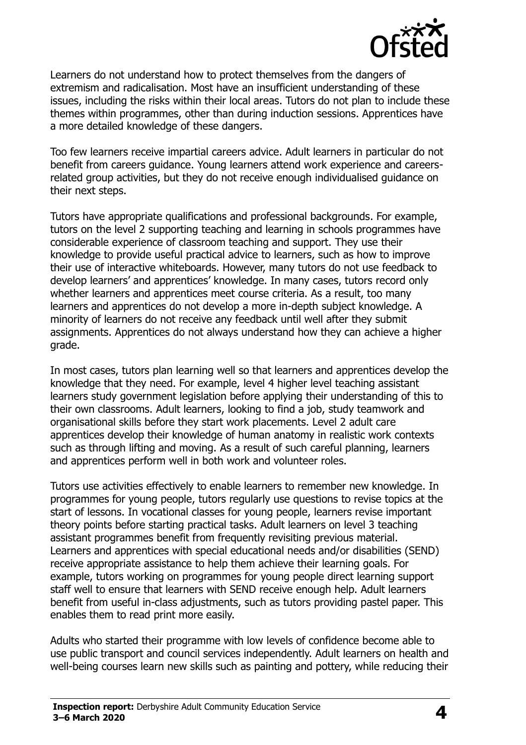

Learners do not understand how to protect themselves from the dangers of extremism and radicalisation. Most have an insufficient understanding of these issues, including the risks within their local areas. Tutors do not plan to include these themes within programmes, other than during induction sessions. Apprentices have a more detailed knowledge of these dangers.

Too few learners receive impartial careers advice. Adult learners in particular do not benefit from careers guidance. Young learners attend work experience and careersrelated group activities, but they do not receive enough individualised guidance on their next steps.

Tutors have appropriate qualifications and professional backgrounds. For example, tutors on the level 2 supporting teaching and learning in schools programmes have considerable experience of classroom teaching and support. They use their knowledge to provide useful practical advice to learners, such as how to improve their use of interactive whiteboards. However, many tutors do not use feedback to develop learners' and apprentices' knowledge. In many cases, tutors record only whether learners and apprentices meet course criteria. As a result, too many learners and apprentices do not develop a more in-depth subject knowledge. A minority of learners do not receive any feedback until well after they submit assignments. Apprentices do not always understand how they can achieve a higher grade.

In most cases, tutors plan learning well so that learners and apprentices develop the knowledge that they need. For example, level 4 higher level teaching assistant learners study government legislation before applying their understanding of this to their own classrooms. Adult learners, looking to find a job, study teamwork and organisational skills before they start work placements. Level 2 adult care apprentices develop their knowledge of human anatomy in realistic work contexts such as through lifting and moving. As a result of such careful planning, learners and apprentices perform well in both work and volunteer roles.

Tutors use activities effectively to enable learners to remember new knowledge. In programmes for young people, tutors regularly use questions to revise topics at the start of lessons. In vocational classes for young people, learners revise important theory points before starting practical tasks. Adult learners on level 3 teaching assistant programmes benefit from frequently revisiting previous material. Learners and apprentices with special educational needs and/or disabilities (SEND) receive appropriate assistance to help them achieve their learning goals. For example, tutors working on programmes for young people direct learning support staff well to ensure that learners with SEND receive enough help. Adult learners benefit from useful in-class adjustments, such as tutors providing pastel paper. This enables them to read print more easily.

Adults who started their programme with low levels of confidence become able to use public transport and council services independently. Adult learners on health and well-being courses learn new skills such as painting and pottery, while reducing their

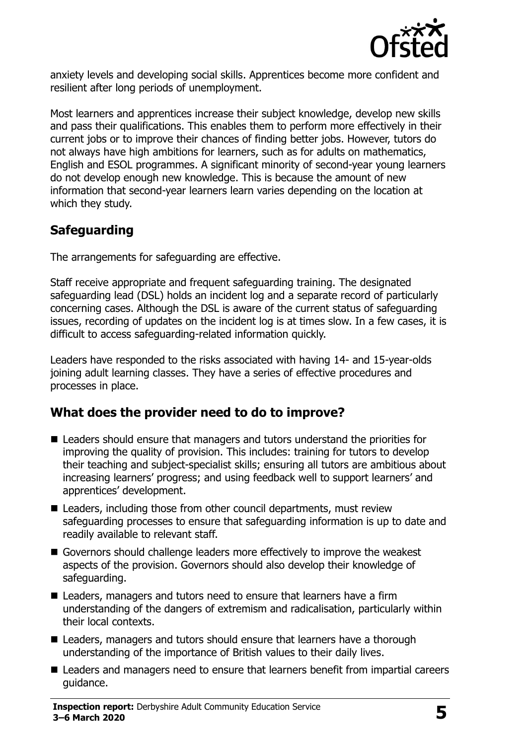

anxiety levels and developing social skills. Apprentices become more confident and resilient after long periods of unemployment.

Most learners and apprentices increase their subject knowledge, develop new skills and pass their qualifications. This enables them to perform more effectively in their current jobs or to improve their chances of finding better jobs. However, tutors do not always have high ambitions for learners, such as for adults on mathematics, English and ESOL programmes. A significant minority of second-year young learners do not develop enough new knowledge. This is because the amount of new information that second-year learners learn varies depending on the location at which they study.

# **Safeguarding**

The arrangements for safeguarding are effective.

Staff receive appropriate and frequent safeguarding training. The designated safeguarding lead (DSL) holds an incident log and a separate record of particularly concerning cases. Although the DSL is aware of the current status of safeguarding issues, recording of updates on the incident log is at times slow. In a few cases, it is difficult to access safeguarding-related information quickly.

Leaders have responded to the risks associated with having 14- and 15-year-olds joining adult learning classes. They have a series of effective procedures and processes in place.

### **What does the provider need to do to improve?**

- Leaders should ensure that managers and tutors understand the priorities for improving the quality of provision. This includes: training for tutors to develop their teaching and subject-specialist skills; ensuring all tutors are ambitious about increasing learners' progress; and using feedback well to support learners' and apprentices' development.
- Leaders, including those from other council departments, must review safeguarding processes to ensure that safeguarding information is up to date and readily available to relevant staff.
- Governors should challenge leaders more effectively to improve the weakest aspects of the provision. Governors should also develop their knowledge of safeguarding.
- Leaders, managers and tutors need to ensure that learners have a firm understanding of the dangers of extremism and radicalisation, particularly within their local contexts.
- Leaders, managers and tutors should ensure that learners have a thorough understanding of the importance of British values to their daily lives.
- Leaders and managers need to ensure that learners benefit from impartial careers guidance.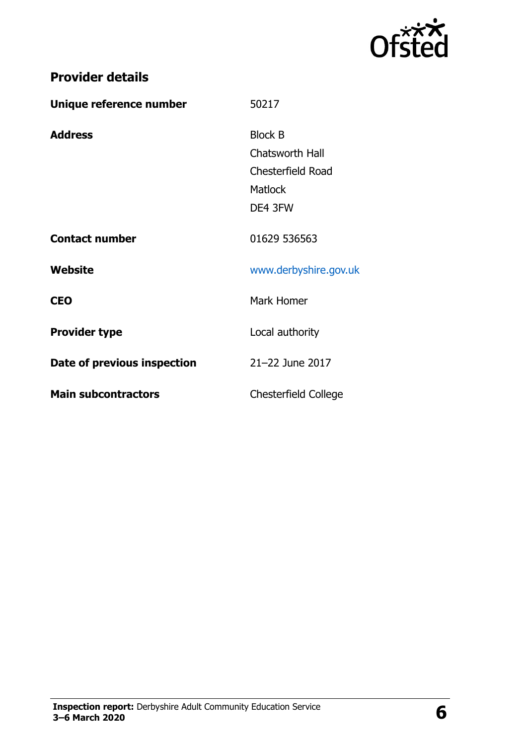

| <b>Provider details</b> |  |
|-------------------------|--|
|-------------------------|--|

| Unique reference number     | 50217                 |
|-----------------------------|-----------------------|
| <b>Address</b>              | <b>Block B</b>        |
|                             | Chatsworth Hall       |
|                             | Chesterfield Road     |
|                             | <b>Matlock</b>        |
|                             | DE4 3FW               |
| <b>Contact number</b>       | 01629 536563          |
| Website                     | www.derbyshire.gov.uk |
| <b>CEO</b>                  | Mark Homer            |
| <b>Provider type</b>        | Local authority       |
| Date of previous inspection | 21-22 June 2017       |
| <b>Main subcontractors</b>  | Chesterfield College  |

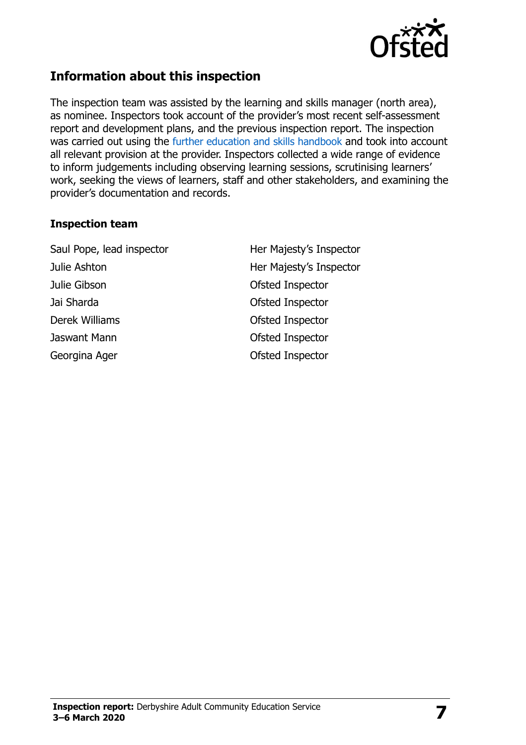

## **Information about this inspection**

The inspection team was assisted by the learning and skills manager (north area), as nominee. Inspectors took account of the provider's most recent self-assessment report and development plans, and the previous inspection report. The inspection was carried out using the [further education and skills handbook](https://www.gov.uk/government/publications/further-education-and-skills-inspection-handbook-eif) and took into account all relevant provision at the provider. Inspectors collected a wide range of evidence to inform judgements including observing learning sessions, scrutinising learners' work, seeking the views of learners, staff and other stakeholders, and examining the provider's documentation and records.

#### **Inspection team**

Saul Pope, lead inspector **Her Majesty's Inspector** Julie Ashton **Her Majesty's Inspector** Julie Gibson Ofsted Inspector Jai Sharda Ofsted Inspector Derek Williams **Ofsted Inspector** Jaswant Mann Ofsted Inspector Georgina Ager **Construction Construction** Construction Of Sted Inspector